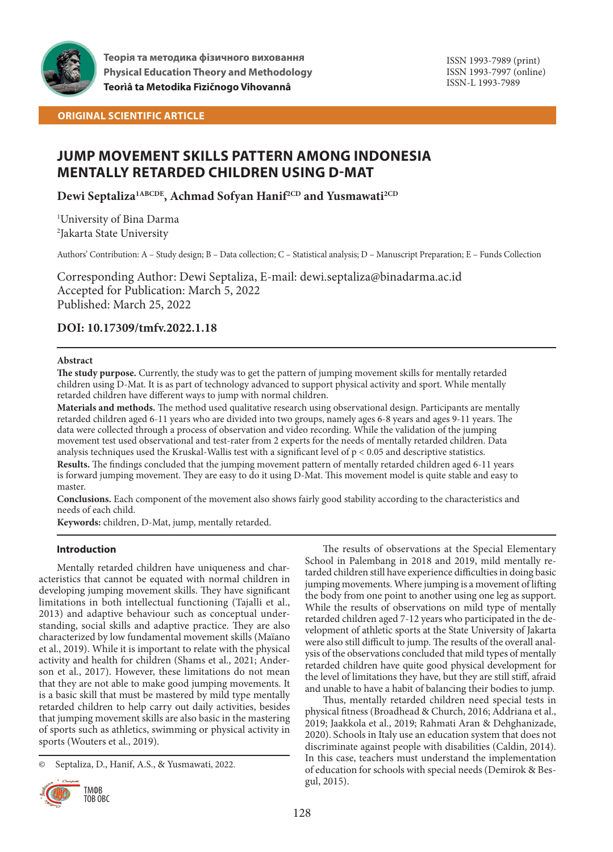

# **ORIGINAL SCIENTIFIC ARTICLE**

# **JUMP MOVEMENT SKILLS PATTERN AMONG INDONESIA MENTALLY RETARDED CHILDREN USING D-MAT**

**Dewi Septaliza1ABCDE, Achmad Sofyan Hanif2CD and Yusmawati2CD**

1 University of Bina Darma 2 Jakarta State University

Authors' Contribution: A – Study design; B – Data collection; C – Statistical analysis; D – Manuscript Preparation; E – Funds Collection

Corresponding Author: Dewi Septaliza, E-mail: dewi.septaliza@binadarma.ac.id Accepted for Publication: March 5, 2022 Published: March 25, 2022

# **DOI: 10.17309/tmfv.2022.1.18**

## **Abstract**

**The study purpose.** Currently, the study was to get the pattern of jumping movement skills for mentally retarded children using D-Mat. It is as part of technology advanced to support physical activity and sport. While mentally retarded children have different ways to jump with normal children.

**Materials and methods.** The method used qualitative research using observational design. Participants are mentally retarded children aged 6-11 years who are divided into two groups, namely ages 6-8 years and ages 9-11 years. The data were collected through a process of observation and video recording. While the validation of the jumping movement test used observational and test-rater from 2 experts for the needs of mentally retarded children. Data analysis techniques used the Kruskal-Wallis test with a significant level of  $p < 0.05$  and descriptive statistics.

**Results.** The findings concluded that the jumping movement pattern of mentally retarded children aged 6-11 years is forward jumping movement. They are easy to do it using D-Mat. This movement model is quite stable and easy to master.

**Conclusions.** Each component of the movement also shows fairly good stability according to the characteristics and needs of each child.

**Keywords:** children, D-Mat, jump, mentally retarded.

# **Introduction**

Mentally retarded children have uniqueness and characteristics that cannot be equated with normal children in developing jumping movement skills. They have significant limitations in both intellectual functioning (Tajalli et al., 2013) and adaptive behaviour such as conceptual understanding, social skills and adaptive practice. They are also characterized by low fundamental movement skills (Maïano et al., 2019). While it is important to relate with the physical activity and health for children (Shams et al., 2021; Anderson et al., 2017). However, these limitations do not mean that they are not able to make good jumping movements. It is a basic skill that must be mastered by mild type mentally retarded children to help carry out daily activities, besides that jumping movement skills are also basic in the mastering of sports such as athletics, swimming or physical activity in sports (Wouters et al., 2019).

<sup>©</sup> Septaliza, D., Hanif, A.S., & Yusmawati, 2022.



The results of observations at the Special Elementary School in Palembang in 2018 and 2019, mild mentally retarded children still have experience difficulties in doing basic jumping movements. Where jumping is a movement of lifting the body from one point to another using one leg as support. While the results of observations on mild type of mentally retarded children aged 7-12 years who participated in the development of athletic sports at the State University of Jakarta were also still difficult to jump. The results of the overall analysis of the observations concluded that mild types of mentally retarded children have quite good physical development for the level of limitations they have, but they are still stiff, afraid and unable to have a habit of balancing their bodies to jump.

Thus, mentally retarded children need special tests in physical fitness (Broadhead & Church, 2016; Addriana et al., 2019; Jaakkola et al., 2019; Rahmati Aran & Dehghanizade, 2020). Schools in Italy use an education system that does not discriminate against people with disabilities (Caldin, 2014). In this case, teachers must understand the implementation of education for schools with special needs (Demirok & Besgul, 2015).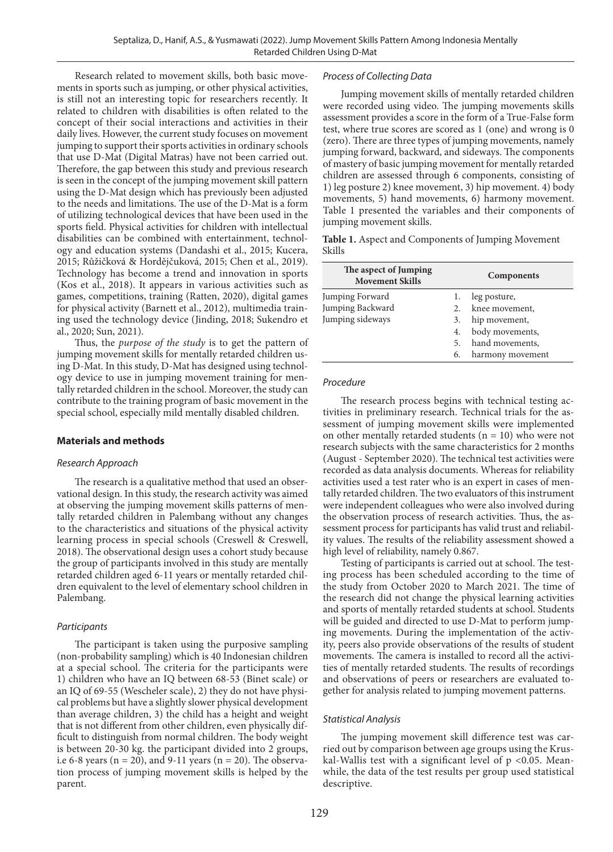Research related to movement skills, both basic movements in sports such as jumping, or other physical activities, is still not an interesting topic for researchers recently. It related to children with disabilities is often related to the concept of their social interactions and activities in their daily lives. However, the current study focuses on movement jumping to support their sports activities in ordinary schools that use D-Mat (Digital Matras) have not been carried out. Therefore, the gap between this study and previous research is seen in the concept of the jumping movement skill pattern using the D-Mat design which has previously been adjusted to the needs and limitations. The use of the D-Mat is a form of utilizing technological devices that have been used in the sports field. Physical activities for children with intellectual disabilities can be combined with entertainment, technology and education systems (Dandashi et al., 2015; Kucera, 2015; Růžičková & Hordějčuková, 2015; Chen et al., 2019). Technology has become a trend and innovation in sports (Kos et al., 2018). It appears in various activities such as games, competitions, training (Ratten, 2020), digital games for physical activity (Barnett et al., 2012), multimedia training used the technology device (Jinding, 2018; Sukendro et al., 2020; Sun, 2021).

Thus, the *purpose of the study* is to get the pattern of jumping movement skills for mentally retarded children using D-Mat. In this study, D-Mat has designed using technology device to use in jumping movement training for mentally retarded children in the school. Moreover, the study can contribute to the training program of basic movement in the special school, especially mild mentally disabled children.

### **Materials and methods**

### *Research Approach*

The research is a qualitative method that used an observational design. In this study, the research activity was aimed at observing the jumping movement skills patterns of mentally retarded children in Palembang without any changes to the characteristics and situations of the physical activity learning process in special schools (Creswell & Creswell, 2018). The observational design uses a cohort study because the group of participants involved in this study are mentally retarded children aged 6-11 years or mentally retarded children equivalent to the level of elementary school children in Palembang.

### *Participants*

The participant is taken using the purposive sampling (non-probability sampling) which is 40 Indonesian children at a special school. The criteria for the participants were 1) children who have an IQ between 68-53 (Binet scale) or an IQ of 69-55 (Wescheler scale), 2) they do not have physical problems but have a slightly slower physical development than average children, 3) the child has a height and weight that is not different from other children, even physically difficult to distinguish from normal children. The body weight is between 20-30 kg. the participant divided into 2 groups, i.e 6-8 years ( $n = 20$ ), and 9-11 years ( $n = 20$ ). The observation process of jumping movement skills is helped by the parent.

#### *Process of Collecting Data*

Jumping movement skills of mentally retarded children were recorded using video. The jumping movements skills assessment provides a score in the form of a True-False form test, where true scores are scored as 1 (one) and wrong is 0 (zero). There are three types of jumping movements, namely jumping forward, backward, and sideways. The components of mastery of basic jumping movement for mentally retarded children are assessed through 6 components, consisting of 1) leg posture 2) knee movement, 3) hip movement. 4) body movements, 5) hand movements, 6) harmony movement. Table 1 presented the variables and their components of jumping movement skills.

**Table 1.** Aspect and Components of Jumping Movement Skills

| The aspect of Jumping<br><b>Movement Skills</b> | <b>Components</b> |                   |  |  |  |
|-------------------------------------------------|-------------------|-------------------|--|--|--|
| Jumping Forward                                 | ı.                | leg posture,      |  |  |  |
| Jumping Backward                                |                   | 2. knee movement, |  |  |  |
| Jumping sideways                                | 3.                | hip movement,     |  |  |  |
|                                                 | 4.                | body movements,   |  |  |  |
|                                                 | 5.                | hand movements,   |  |  |  |
|                                                 | 6.                | harmony movement  |  |  |  |

### *Procedure*

The research process begins with technical testing activities in preliminary research. Technical trials for the assessment of jumping movement skills were implemented on other mentally retarded students  $(n = 10)$  who were not research subjects with the same characteristics for 2 months (August - September 2020). The technical test activities were recorded as data analysis documents. Whereas for reliability activities used a test rater who is an expert in cases of mentally retarded children. The two evaluators of this instrument were independent colleagues who were also involved during the observation process of research activities. Thus, the assessment process for participants has valid trust and reliability values. The results of the reliability assessment showed a high level of reliability, namely 0.867.

Testing of participants is carried out at school. The testing process has been scheduled according to the time of the study from October 2020 to March 2021. The time of the research did not change the physical learning activities and sports of mentally retarded students at school. Students will be guided and directed to use D-Mat to perform jumping movements. During the implementation of the activity, peers also provide observations of the results of student movements. The camera is installed to record all the activities of mentally retarded students. The results of recordings and observations of peers or researchers are evaluated together for analysis related to jumping movement patterns.

#### *Statistical Analysis*

The jumping movement skill difference test was carried out by comparison between age groups using the Kruskal-Wallis test with a significant level of  $p < 0.05$ . Meanwhile, the data of the test results per group used statistical descriptive.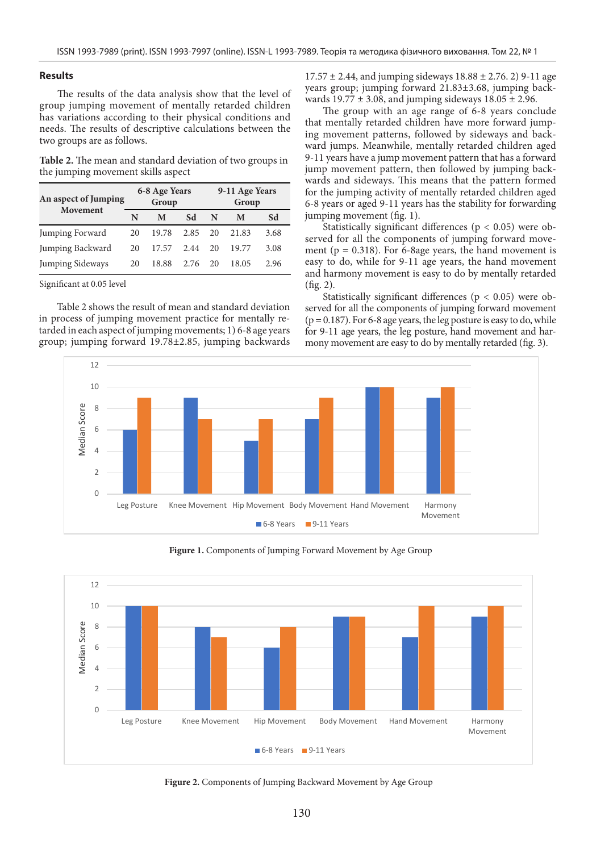### **Results**

The results of the data analysis show that the level of group jumping movement of mentally retarded children has variations according to their physical conditions and needs. The results of descriptive calculations between the two groups are as follows.

**Table 2.** The mean and standard deviation of two groups in the jumping movement skills aspect

| An aspect of Jumping<br>Movement | 6-8 Age Years<br>Group |       |      | 9-11 Age Years<br>Group |       |      |
|----------------------------------|------------------------|-------|------|-------------------------|-------|------|
|                                  | N                      | M     | Sd   | N                       | M     | Sd   |
| Jumping Forward                  | 20                     | 19.78 | 2.85 | 20                      | 21.83 | 3.68 |
| Jumping Backward                 | 20                     | 17.57 | 2.44 | 20                      | 19.77 | 3.08 |
| Jumping Sideways                 | 20                     | 18.88 | 2.76 | 20                      | 18.05 | 2.96 |

Significant at 0.05 level

Table 2 shows the result of mean and standard deviation in process of jumping movement practice for mentally retarded in each aspect of jumping movements; 1) 6-8 age years group; jumping forward 19.78±2.85, jumping backwards  $17.57 \pm 2.44$ , and jumping sideways  $18.88 \pm 2.76$ . 2) 9-11 age years group; jumping forward 21.83±3.68, jumping backwards 19.77  $\pm$  3.08, and jumping sideways 18.05  $\pm$  2.96.

The group with an age range of 6-8 years conclude that mentally retarded children have more forward jumping movement patterns, followed by sideways and backward jumps. Meanwhile, mentally retarded children aged 9-11 years have a jump movement pattern that has a forward jump movement pattern, then followed by jumping backwards and sideways. This means that the pattern formed for the jumping activity of mentally retarded children aged 6-8 years or aged 9-11 years has the stability for forwarding jumping movement (fig. 1).

Statistically significant differences ( $p < 0.05$ ) were observed for all the components of jumping forward movement ( $p = 0.318$ ). For 6-8age years, the hand movement is easy to do, while for 9-11 age years, the hand movement and harmony movement is easy to do by mentally retarded (fig. 2).

Statistically significant differences ( $p < 0.05$ ) were observed for all the components of jumping forward movement  $(p = 0.187)$ . For 6-8 age years, the leg posture is easy to do, while for 9-11 age years, the leg posture, hand movement and harmony movement are easy to do by mentally retarded (fig. 3).



**Figure 1.** Components of Jumping Forward Movement by Age Group



Figure 2. Components of Jumping Backward Movement by Age Group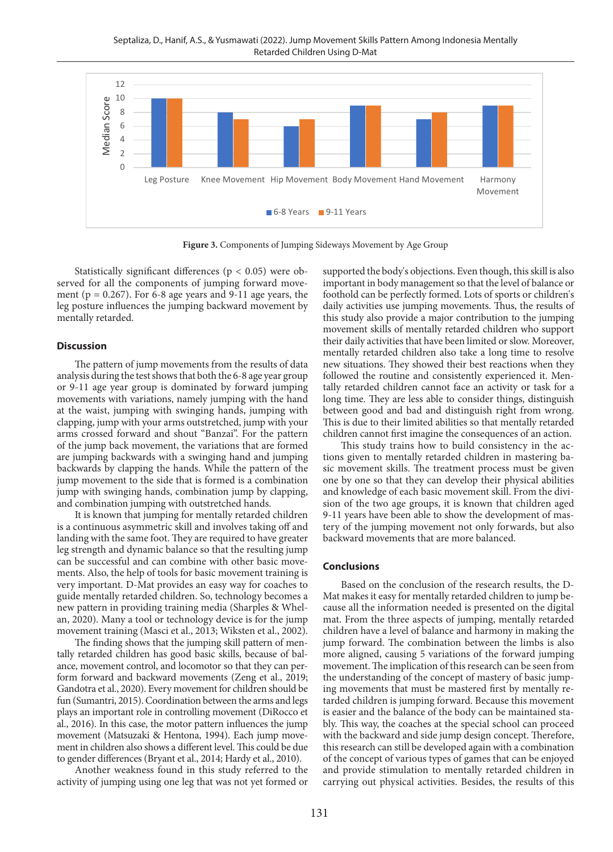Septaliza, D., Hanif, A.S., & Yusmawati (2022). Jump Movement Skills Pattern Among Indonesia Mentally Retarded Children Using D-Mat



Figure 3. Components of Jumping Sideways Movement by Age Group

Statistically significant differences ( $p < 0.05$ ) were observed for all the components of jumping forward movement ( $p = 0.267$ ). For 6-8 age years and 9-11 age years, the leg posture influences the jumping backward movement by mentally retarded.

### **Discussion**

The pattern of jump movements from the results of data analysis during the test shows that both the 6-8 age year group or 9-11 age year group is dominated by forward jumping movements with variations, namely jumping with the hand at the waist, jumping with swinging hands, jumping with clapping, jump with your arms outstretched, jump with your arms crossed forward and shout "Banzai". For the pattern of the jump back movement, the variations that are formed are jumping backwards with a swinging hand and jumping backwards by clapping the hands. While the pattern of the jump movement to the side that is formed is a combination jump with swinging hands, combination jump by clapping, and combination jumping with outstretched hands.

It is known that jumping for mentally retarded children is a continuous asymmetric skill and involves taking off and landing with the same foot. They are required to have greater leg strength and dynamic balance so that the resulting jump can be successful and can combine with other basic movements. Also, the help of tools for basic movement training is very important. D-Mat provides an easy way for coaches to guide mentally retarded children. So, technology becomes a new pattern in providing training media (Sharples & Whelan, 2020). Many a tool or technology device is for the jump movement training (Masci et al., 2013; Wiksten et al., 2002).

The finding shows that the jumping skill pattern of mentally retarded children has good basic skills, because of balance, movement control, and locomotor so that they can perform forward and backward movements (Zeng et al., 2019; Gandotra et al., 2020). Every movement for children should be fun (Sumantri, 2015). Coordination between the arms and legs plays an important role in controlling movement (DiRocco et al., 2016). In this case, the motor pattern influences the jump movement (Matsuzaki & Hentona, 1994). Each jump movement in children also shows a different level. This could be due to gender differences (Bryant et al., 2014; Hardy et al., 2010).

Another weakness found in this study referred to the activity of jumping using one leg that was not yet formed or supported the body's objections. Even though, this skill is also important in body management so that the level of balance or foothold can be perfectly formed. Lots of sports or children's daily activities use jumping movements. Thus, the results of this study also provide a major contribution to the jumping movement skills of mentally retarded children who support their daily activities that have been limited or slow. Moreover, mentally retarded children also take a long time to resolve new situations. They showed their best reactions when they followed the routine and consistently experienced it. Mentally retarded children cannot face an activity or task for a long time. They are less able to consider things, distinguish between good and bad and distinguish right from wrong. This is due to their limited abilities so that mentally retarded children cannot first imagine the consequences of an action.

This study trains how to build consistency in the actions given to mentally retarded children in mastering basic movement skills. The treatment process must be given one by one so that they can develop their physical abilities and knowledge of each basic movement skill. From the division of the two age groups, it is known that children aged 9-11 years have been able to show the development of mastery of the jumping movement not only forwards, but also backward movements that are more balanced.

### **Conclusions**

Based on the conclusion of the research results, the D-Mat makes it easy for mentally retarded children to jump because all the information needed is presented on the digital mat. From the three aspects of jumping, mentally retarded children have a level of balance and harmony in making the jump forward. The combination between the limbs is also more aligned, causing 5 variations of the forward jumping movement. The implication of this research can be seen from the understanding of the concept of mastery of basic jumping movements that must be mastered first by mentally retarded children is jumping forward. Because this movement is easier and the balance of the body can be maintained stably. This way, the coaches at the special school can proceed with the backward and side jump design concept. Therefore, this research can still be developed again with a combination of the concept of various types of games that can be enjoyed and provide stimulation to mentally retarded children in carrying out physical activities. Besides, the results of this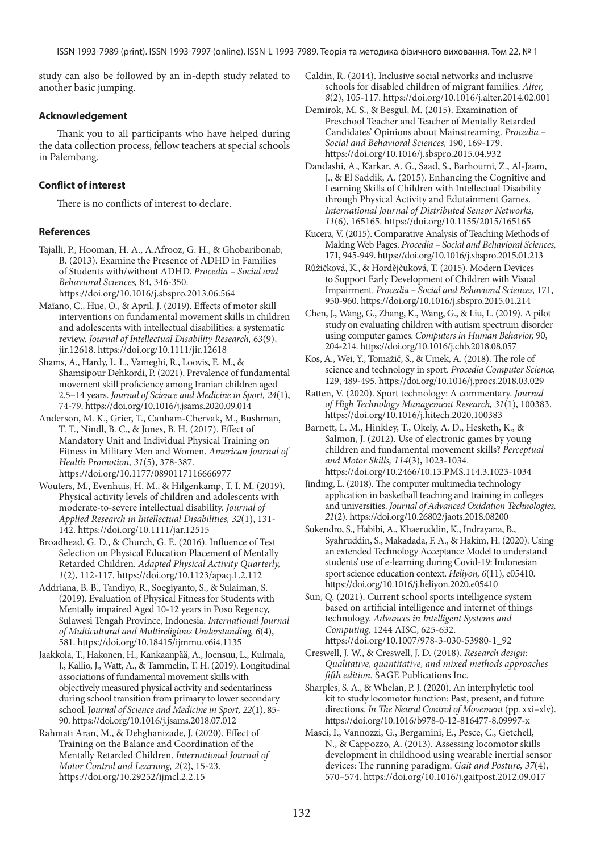study can also be followed by an in-depth study related to another basic jumping.

# **Acknowledgement**

Thank you to all participants who have helped during the data collection process, fellow teachers at special schools in Palembang.

# **Conflict of interest**

There is no conflicts of interest to declare.

## **References**

- Tajalli, P., Hooman, H. A., A.Afrooz, G. H., & Ghobaribonab, B. (2013). Examine the Presence of ADHD in Families of Students with/without ADHD. *Procedia – Social and Behavioral Sciences,* 84, 346-350. https://doi.org/10.1016/j.sbspro.2013.06.564
- Maïano, C., Hue, O., & April, J. (2019). Effects of motor skill interventions on fundamental movement skills in children and adolescents with intellectual disabilities: a systematic review. *Journal of Intellectual Disability Research, 63*(9), jir.12618. https://doi.org/10.1111/jir.12618
- Shams, A., Hardy, L. L., Vameghi, R., Loovis, E. M., & Shamsipour Dehkordi, P. (2021). Prevalence of fundamental movement skill proficiency among Iranian children aged 2.5–14 years. *Journal of Science and Medicine in Sport, 24*(1), 74-79. https://doi.org/10.1016/j.jsams.2020.09.014
- Anderson, M. K., Grier, T., Canham-Chervak, M., Bushman, T. T., Nindl, B. C., & Jones, B. H. (2017). Effect of Mandatory Unit and Individual Physical Training on Fitness in Military Men and Women. *American Journal of Health Promotion, 31*(5), 378-387. https://doi.org/10.1177/0890117116666977
- Wouters, M., Evenhuis, H. M., & Hilgenkamp, T. I. M. (2019). Physical activity levels of children and adolescents with moderate-to-severe intellectual disability. *Journal of Applied Research in Intellectual Disabilities, 32*(1), 131- 142. https://doi.org/10.1111/jar.12515
- Broadhead, G. D., & Church, G. E. (2016). Influence of Test Selection on Physical Education Placement of Mentally Retarded Children. *Adapted Physical Activity Quarterly, 1*(2), 112-117. https://doi.org/10.1123/apaq.1.2.112
- Addriana, B. B., Tandiyo, R., Soegiyanto, S., & Sulaiman, S. (2019). Evaluation of Physical Fitness for Students with Mentally impaired Aged 10-12 years in Poso Regency, Sulawesi Tengah Province, Indonesia. *International Journal of Multicultural and Multireligious Understanding, 6*(4), 581. https://doi.org/10.18415/ijmmu.v6i4.1135
- Jaakkola, T., Hakonen, H., Kankaanpää, A., Joensuu, L., Kulmala, J., Kallio, J., Watt, A., & Tammelin, T. H. (2019). Longitudinal associations of fundamental movement skills with objectively measured physical activity and sedentariness during school transition from primary to lower secondary school. J*ournal of Science and Medicine in Sport, 22*(1), 85- 90. https://doi.org/10.1016/j.jsams.2018.07.012
- Rahmati Aran, M., & Dehghanizade, J. (2020). Effect of Training on the Balance and Coordination of the Mentally Retarded Children. *International Journal of Motor Control and Learning, 2*(2), 15-23. https://doi.org/10.29252/ijmcl.2.2.15
- Caldin, R. (2014). Inclusive social networks and inclusive schools for disabled children of migrant families. *Alter, 8*(2), 105-117. https://doi.org/10.1016/j.alter.2014.02.001
- Demirok, M. S., & Besgul, M. (2015). Examination of Preschool Teacher and Teacher of Mentally Retarded Candidates' Opinions about Mainstreaming. *Procedia – Social and Behavioral Sciences,* 190, 169-179. https://doi.org/10.1016/j.sbspro.2015.04.932
- Dandashi, A., Karkar, A. G., Saad, S., Barhoumi, Z., Al-Jaam, J., & El Saddik, A. (2015). Enhancing the Cognitive and Learning Skills of Children with Intellectual Disability through Physical Activity and Edutainment Games. *International Journal of Distributed Sensor Networks, 11*(6), 165165. https://doi.org/10.1155/2015/165165
- Kucera, V. (2015). Comparative Analysis of Teaching Methods of Making Web Pages. *Procedia – Social and Behavioral Sciences,* 171, 945-949. https://doi.org/10.1016/j.sbspro.2015.01.213
- Růžičková, K., & Hordějčuková, T. (2015). Modern Devices to Support Early Development of Children with Visual Impairment. *Procedia – Social and Behavioral Sciences,* 171, 950-960. https://doi.org/10.1016/j.sbspro.2015.01.214
- Chen, J., Wang, G., Zhang, K., Wang, G., & Liu, L. (2019). A pilot study on evaluating children with autism spectrum disorder using computer games. *Computers in Human Behavior,* 90, 204-214. https://doi.org/10.1016/j.chb.2018.08.057
- Kos, A., Wei, Y., Tomažič, S., & Umek, A. (2018). The role of science and technology in sport. *Procedia Computer Science,*  129, 489-495. https://doi.org/10.1016/j.procs.2018.03.029
- Ratten, V. (2020). Sport technology: A commentary. *Journal of High Technology Management Research, 31*(1), 100383. https://doi.org/10.1016/j.hitech.2020.100383
- Barnett, L. M., Hinkley, T., Okely, A. D., Hesketh, K., & Salmon, J. (2012). Use of electronic games by young children and fundamental movement skills? *Perceptual and Motor Skills, 114*(3), 1023-1034. https://doi.org/10.2466/10.13.PMS.114.3.1023-1034
- Jinding, L. (2018). The computer multimedia technology application in basketball teaching and training in colleges and universities. *Journal of Advanced Oxidation Technologies, 21*(2). https://doi.org/10.26802/jaots.2018.08200
- Sukendro, S., Habibi, A., Khaeruddin, K., Indrayana, B., Syahruddin, S., Makadada, F. A., & Hakim, H. (2020). Using an extended Technology Acceptance Model to understand students' use of e-learning during Covid-19: Indonesian sport science education context. *Heliyon, 6*(11), e05410. https://doi.org/10.1016/j.heliyon.2020.e05410
- Sun, Q. (2021). Current school sports intelligence system based on artificial intelligence and internet of things technology. *Advances in Intelligent Systems and Computing,* 1244 AISC, 625-632. https://doi.org/10.1007/978-3-030-53980-1\_92
- Creswell, J. W., & Creswell, J. D. (2018). *Research design: Qualitative, quantitative, and mixed methods approaches fifth edition.* SAGE Publications Inc.
- Sharples, S. A., & Whelan, P. J. (2020). An interphyletic tool kit to study locomotor function: Past, present, and future directions. *In The Neural Control of Movement* (pp. xxi–xlv). https://doi.org/10.1016/b978-0-12-816477-8.09997-x
- Masci, I., Vannozzi, G., Bergamini, E., Pesce, C., Getchell, N., & Cappozzo, A. (2013). Assessing locomotor skills development in childhood using wearable inertial sensor devices: The running paradigm. *Gait and Posture, 37*(4), 570–574. https://doi.org/10.1016/j.gaitpost.2012.09.017